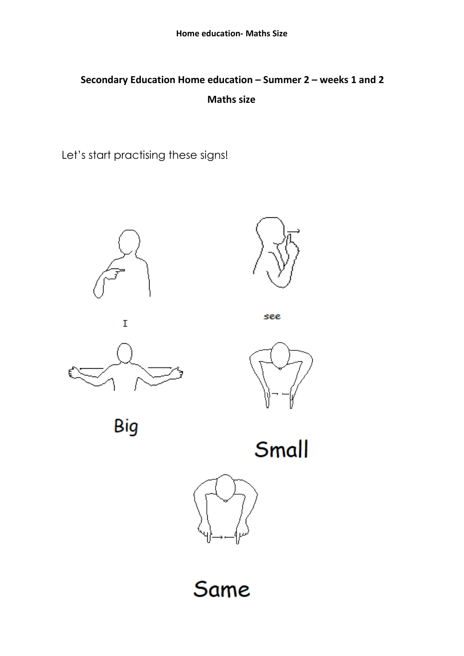## **Secondary Education Home education – Summer 2 – weeks 1 and 2 Maths size**

Let's start practising these signs!







see





Big

Small



Same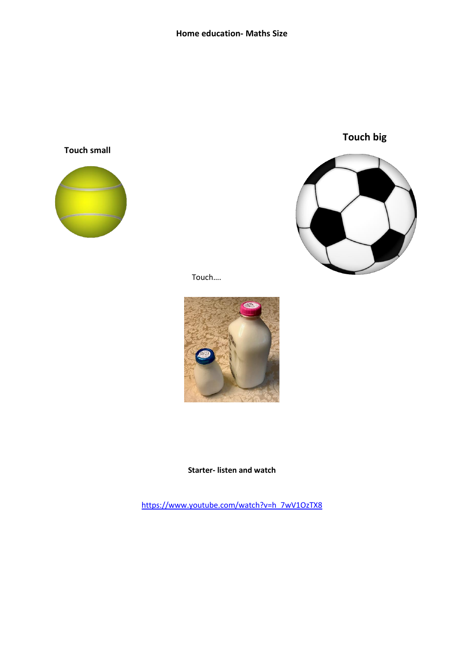**Touch small**





Touch….



**Starter- listen and watch**

[https://www.youtube.com/watch?v=h\\_7wV1OzTX8](https://www.youtube.com/watch?v=h_7wV1OzTX8)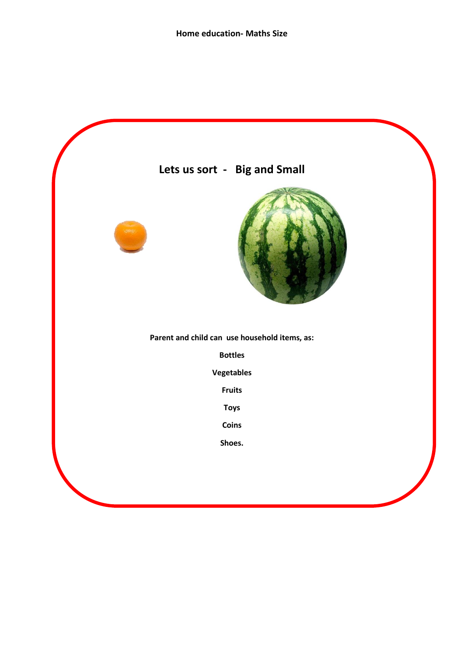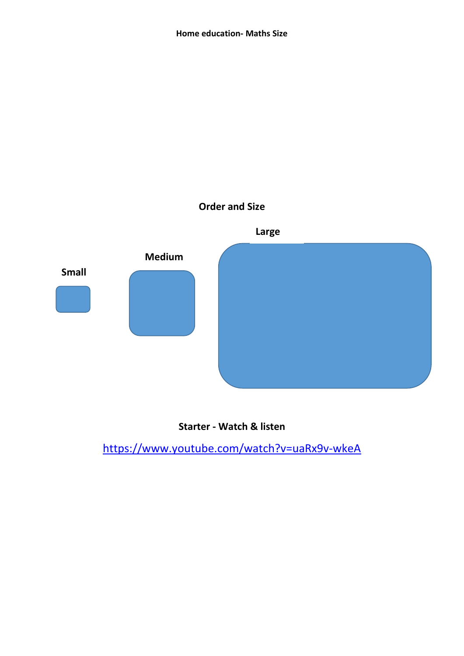



<https://www.youtube.com/watch?v=uaRx9v-wkeA>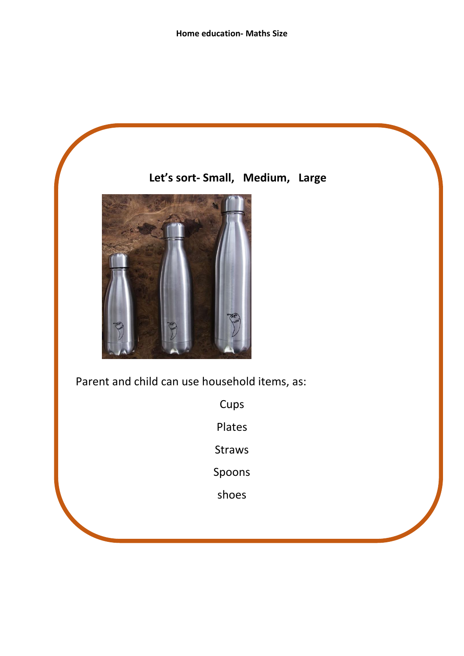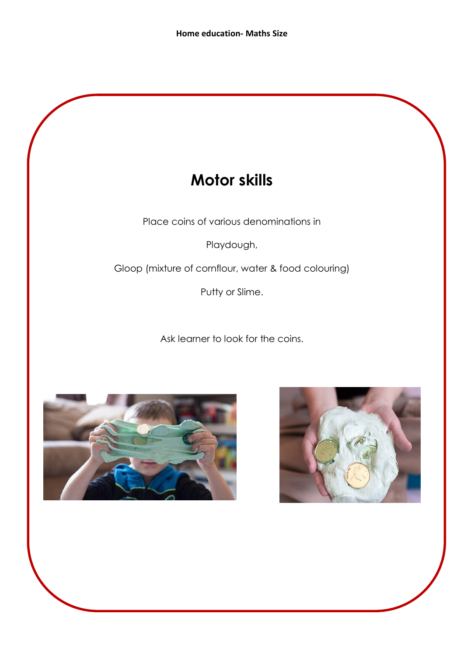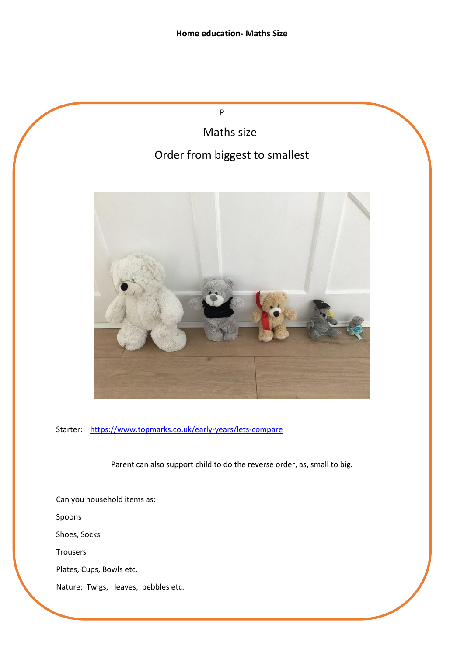P

Maths size-

## Order from biggest to smallest



Starter: <https://www.topmarks.co.uk/early-years/lets-compare>

Parent can also support child to do the reverse order, as, small to big.

Can you household items as: Spoons Shoes, Socks Trousers Plates, Cups, Bowls etc. Nature: Twigs, leaves, pebbles etc.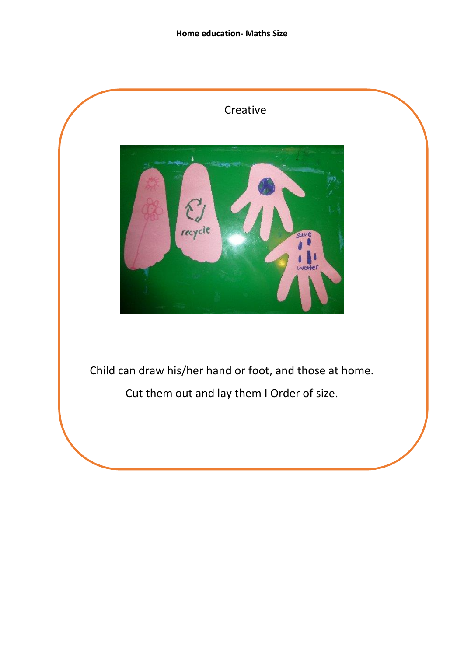